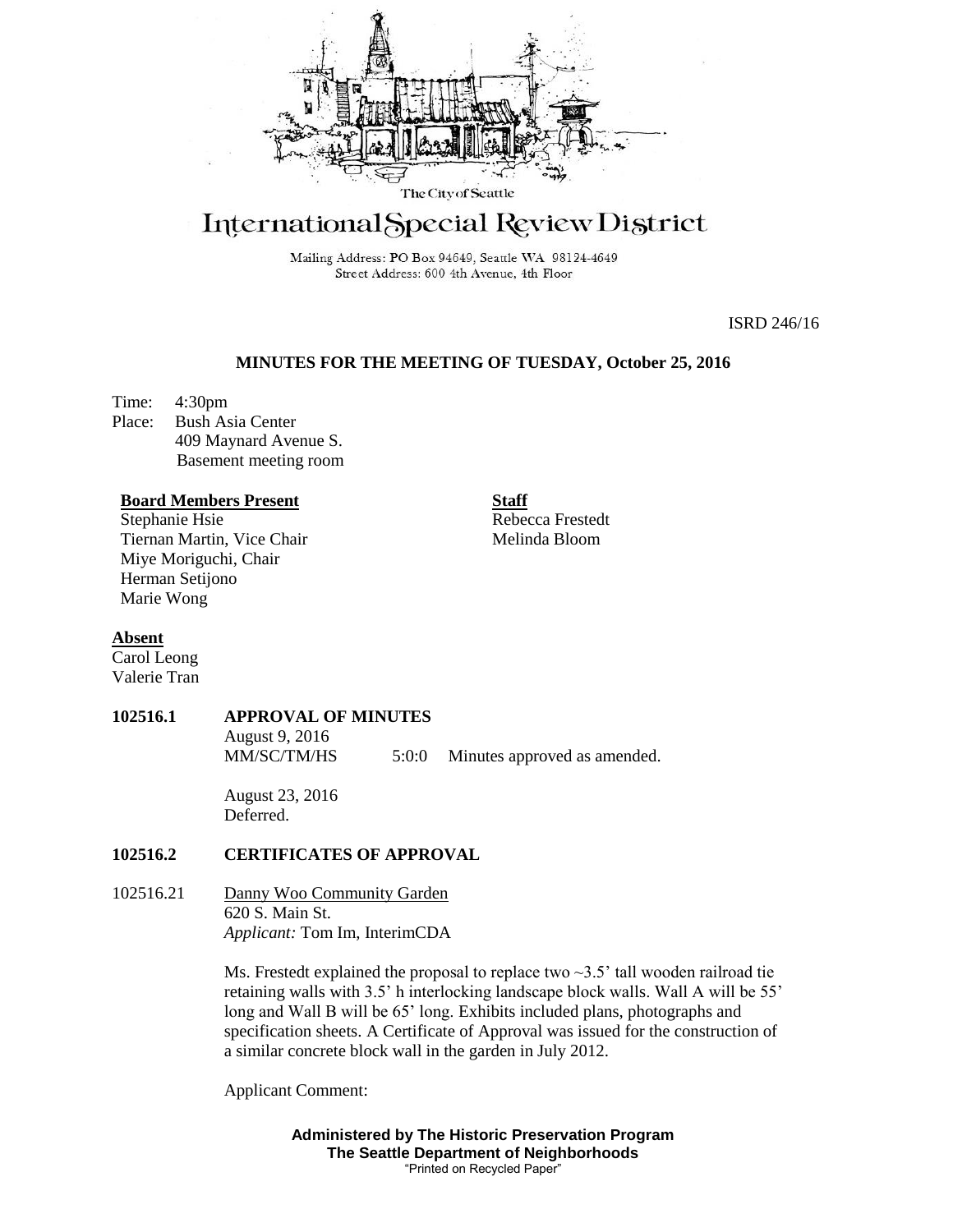

# International Special Review District

Mailing Address: PO Box 94649, Seattle WA 98124-4649 Street Address: 600 4th Avenue, 4th Floor

ISRD 246/16

## **MINUTES FOR THE MEETING OF TUESDAY, October 25, 2016**

Time: 4:30pm Place: Bush Asia Center 409 Maynard Avenue S. Basement meeting room

#### **Board Members Present**

Stephanie Hsie Tiernan Martin, Vice Chair Miye Moriguchi, Chair Herman Setijono Marie Wong

**Staff** Rebecca Frestedt Melinda Bloom

#### **Absent**

Carol Leong Valerie Tran

# **102516.1 APPROVAL OF MINUTES** August 9, 2016

MM/SC/TM/HS 5:0:0 Minutes approved as amended.

August 23, 2016 Deferred.

#### **102516.2 CERTIFICATES OF APPROVAL**

102516.21 Danny Woo Community Garden 620 S. Main St. *Applicant:* Tom Im, InterimCDA

> Ms. Frestedt explained the proposal to replace two  $\sim$ 3.5' tall wooden railroad tie retaining walls with 3.5' h interlocking landscape block walls. Wall A will be 55' long and Wall B will be 65' long. Exhibits included plans, photographs and specification sheets. A Certificate of Approval was issued for the construction of a similar concrete block wall in the garden in July 2012.

Applicant Comment:

**Administered by The Historic Preservation Program The Seattle Department of Neighborhoods** "Printed on Recycled Paper"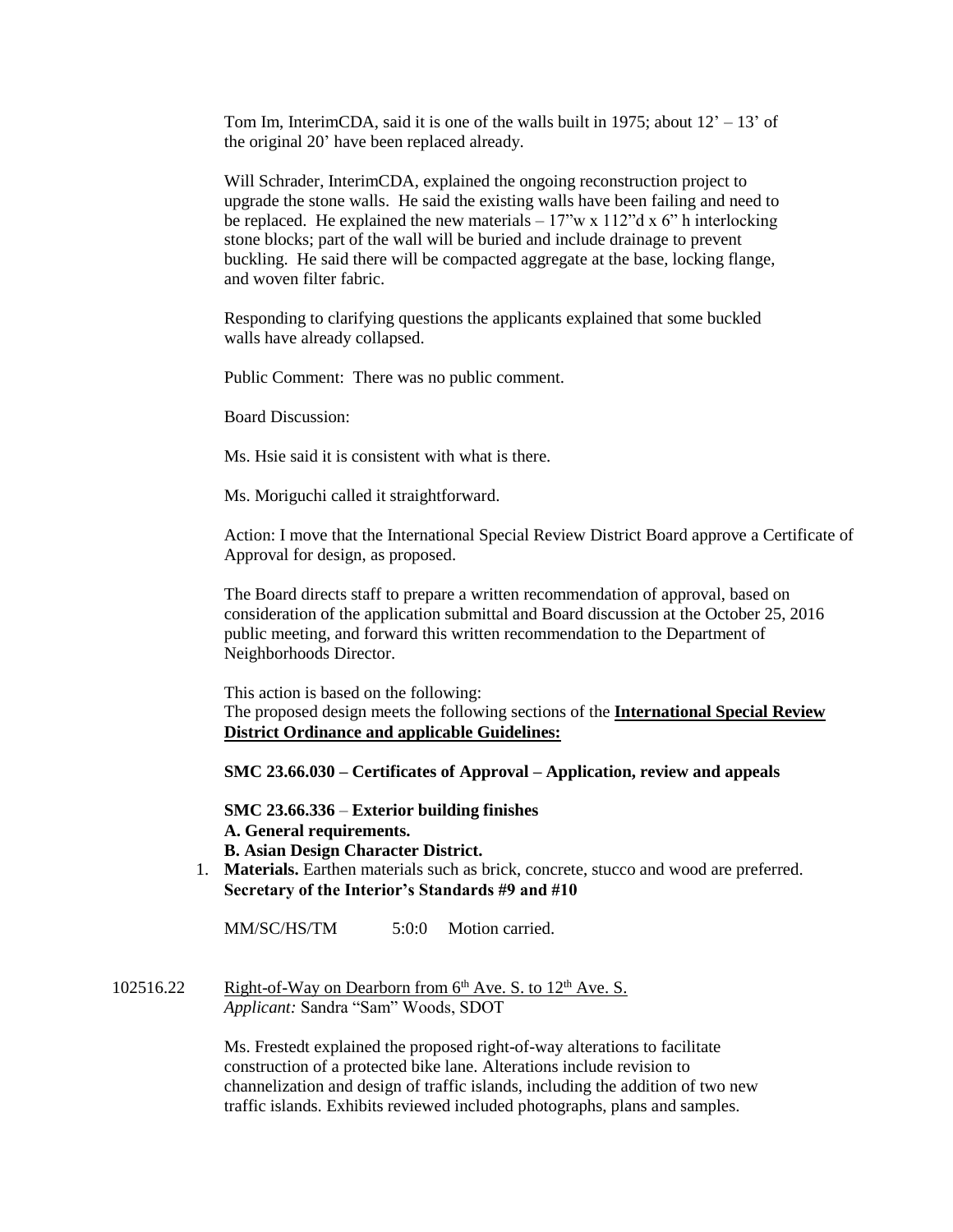Tom Im, InterimCDA, said it is one of the walls built in 1975; about  $12' - 13'$  of the original 20' have been replaced already.

Will Schrader, InterimCDA, explained the ongoing reconstruction project to upgrade the stone walls. He said the existing walls have been failing and need to be replaced. He explained the new materials  $-17$ "w x 112"d x 6" h interlocking stone blocks; part of the wall will be buried and include drainage to prevent buckling. He said there will be compacted aggregate at the base, locking flange, and woven filter fabric.

Responding to clarifying questions the applicants explained that some buckled walls have already collapsed.

Public Comment: There was no public comment.

Board Discussion:

Ms. Hsie said it is consistent with what is there.

Ms. Moriguchi called it straightforward.

Action: I move that the International Special Review District Board approve a Certificate of Approval for design, as proposed.

The Board directs staff to prepare a written recommendation of approval, based on consideration of the application submittal and Board discussion at the October 25, 2016 public meeting, and forward this written recommendation to the Department of Neighborhoods Director.

This action is based on the following: The proposed design meets the following sections of the **International Special Review District Ordinance and applicable Guidelines:**

**SMC 23.66.030 – Certificates of Approval – Application, review and appeals**

**SMC 23.66.336** – **Exterior building finishes A. General requirements. B. Asian Design Character District.**

1. **Materials.** Earthen materials such as brick, concrete, stucco and wood are preferred. **Secretary of the Interior's Standards #9 and #10**

MM/SC/HS/TM 5:0:0 Motion carried.

102516.22 Right-of-Way on Dearborn from  $6<sup>th</sup>$  Ave. S. to  $12<sup>th</sup>$  Ave. S. *Applicant:* Sandra "Sam" Woods, SDOT

> Ms. Frestedt explained the proposed right-of-way alterations to facilitate construction of a protected bike lane. Alterations include revision to channelization and design of traffic islands, including the addition of two new traffic islands. Exhibits reviewed included photographs, plans and samples.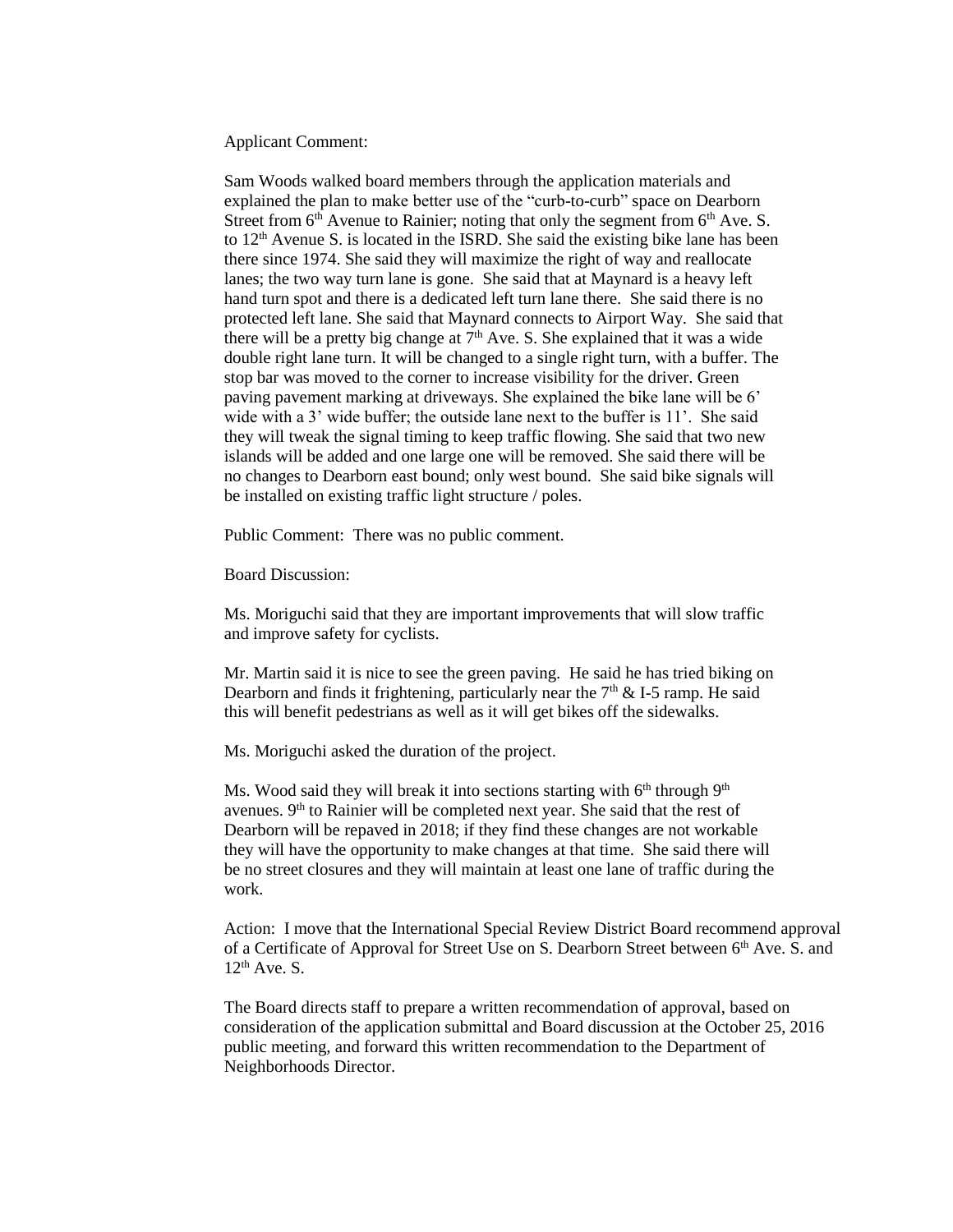Applicant Comment:

Sam Woods walked board members through the application materials and explained the plan to make better use of the "curb-to-curb" space on Dearborn Street from  $6<sup>th</sup>$  Avenue to Rainier; noting that only the segment from  $6<sup>th</sup>$  Ave. S. to  $12<sup>th</sup>$  Avenue S. is located in the ISRD. She said the existing bike lane has been there since 1974. She said they will maximize the right of way and reallocate lanes; the two way turn lane is gone. She said that at Maynard is a heavy left hand turn spot and there is a dedicated left turn lane there. She said there is no protected left lane. She said that Maynard connects to Airport Way. She said that there will be a pretty big change at  $7<sup>th</sup>$  Ave. S. She explained that it was a wide double right lane turn. It will be changed to a single right turn, with a buffer. The stop bar was moved to the corner to increase visibility for the driver. Green paving pavement marking at driveways. She explained the bike lane will be 6' wide with a 3' wide buffer; the outside lane next to the buffer is 11'. She said they will tweak the signal timing to keep traffic flowing. She said that two new islands will be added and one large one will be removed. She said there will be no changes to Dearborn east bound; only west bound. She said bike signals will be installed on existing traffic light structure / poles.

Public Comment: There was no public comment.

Board Discussion:

Ms. Moriguchi said that they are important improvements that will slow traffic and improve safety for cyclists.

Mr. Martin said it is nice to see the green paving. He said he has tried biking on Dearborn and finds it frightening, particularly near the  $7<sup>th</sup>$  & I-5 ramp. He said this will benefit pedestrians as well as it will get bikes off the sidewalks.

Ms. Moriguchi asked the duration of the project.

Ms. Wood said they will break it into sections starting with  $6<sup>th</sup>$  through  $9<sup>th</sup>$ avenues. 9<sup>th</sup> to Rainier will be completed next year. She said that the rest of Dearborn will be repaved in 2018; if they find these changes are not workable they will have the opportunity to make changes at that time. She said there will be no street closures and they will maintain at least one lane of traffic during the work.

Action: I move that the International Special Review District Board recommend approval of a Certificate of Approval for Street Use on S. Dearborn Street between 6<sup>th</sup> Ave. S. and  $12<sup>th</sup>$  Ave. S.

The Board directs staff to prepare a written recommendation of approval, based on consideration of the application submittal and Board discussion at the October 25, 2016 public meeting, and forward this written recommendation to the Department of Neighborhoods Director.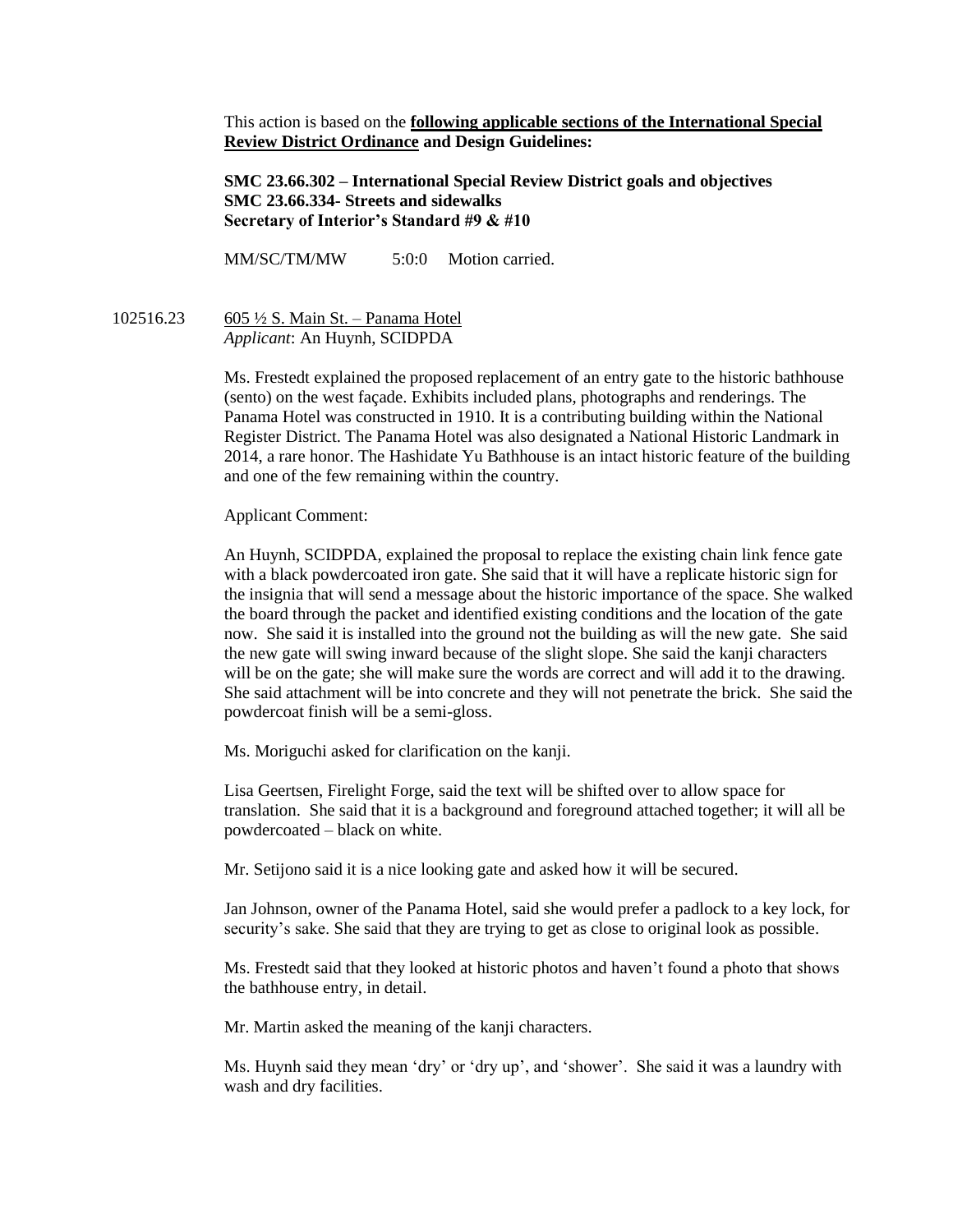This action is based on the **following applicable sections of the International Special Review District Ordinance and Design Guidelines:** 

**SMC 23.66.302 – International Special Review District goals and objectives SMC 23.66.334- Streets and sidewalks Secretary of Interior's Standard #9 & #10**

MM/SC/TM/MW 5:0:0 Motion carried.

102516.23 605 ½ S. Main St. – Panama Hotel *Applicant*: An Huynh, SCIDPDA

> Ms. Frestedt explained the proposed replacement of an entry gate to the historic bathhouse (sento) on the west façade. Exhibits included plans, photographs and renderings. The Panama Hotel was constructed in 1910. It is a contributing building within the National Register District. The Panama Hotel was also designated a National Historic Landmark in 2014, a rare honor. The Hashidate Yu Bathhouse is an intact historic feature of the building and one of the few remaining within the country.

Applicant Comment:

An Huynh, SCIDPDA, explained the proposal to replace the existing chain link fence gate with a black powdercoated iron gate. She said that it will have a replicate historic sign for the insignia that will send a message about the historic importance of the space. She walked the board through the packet and identified existing conditions and the location of the gate now. She said it is installed into the ground not the building as will the new gate. She said the new gate will swing inward because of the slight slope. She said the kanji characters will be on the gate; she will make sure the words are correct and will add it to the drawing. She said attachment will be into concrete and they will not penetrate the brick. She said the powdercoat finish will be a semi-gloss.

Ms. Moriguchi asked for clarification on the kanji.

Lisa Geertsen, Firelight Forge, said the text will be shifted over to allow space for translation. She said that it is a background and foreground attached together; it will all be powdercoated – black on white.

Mr. Setijono said it is a nice looking gate and asked how it will be secured.

Jan Johnson, owner of the Panama Hotel, said she would prefer a padlock to a key lock, for security's sake. She said that they are trying to get as close to original look as possible.

Ms. Frestedt said that they looked at historic photos and haven't found a photo that shows the bathhouse entry, in detail.

Mr. Martin asked the meaning of the kanji characters.

Ms. Huynh said they mean 'dry' or 'dry up', and 'shower'. She said it was a laundry with wash and dry facilities.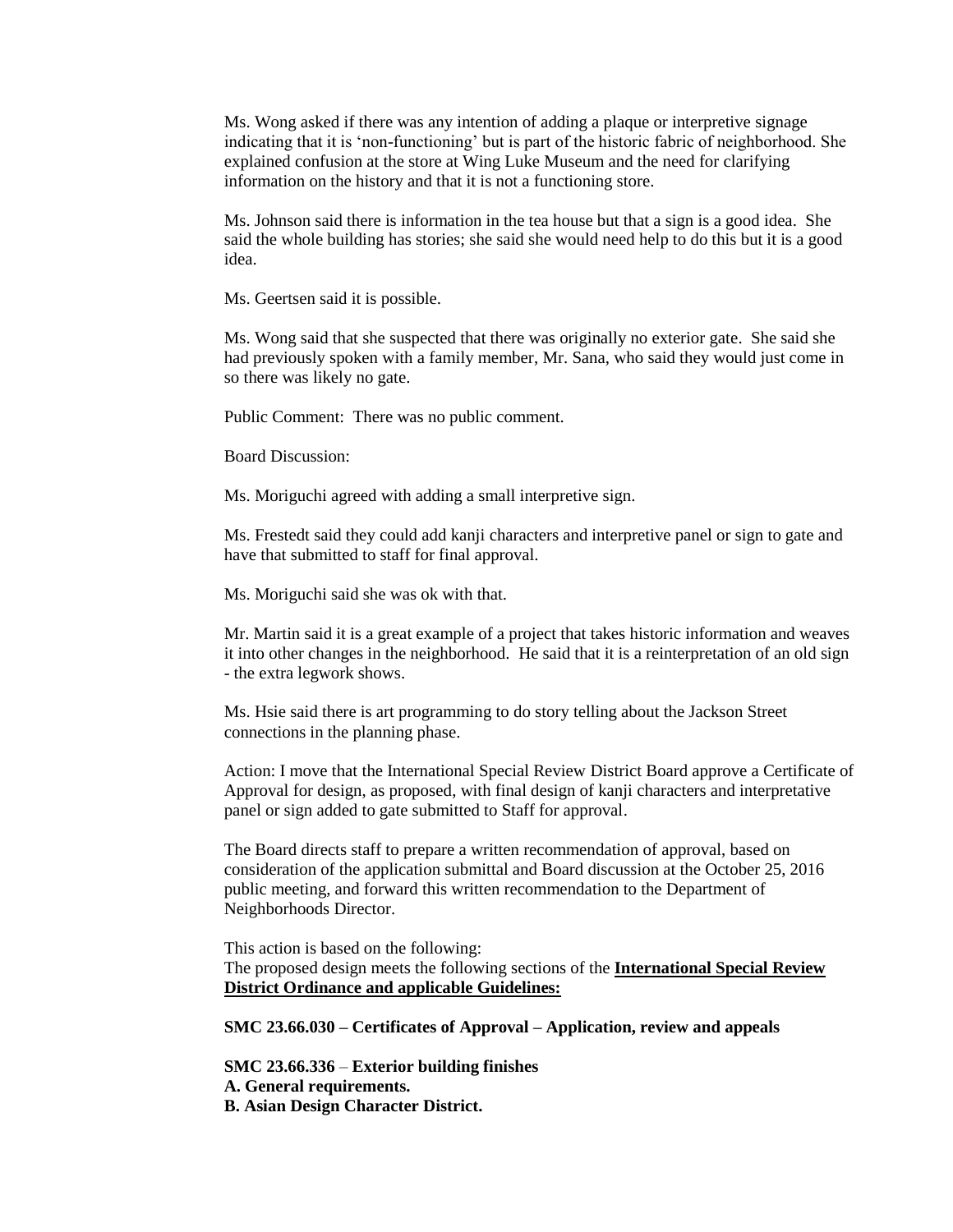Ms. Wong asked if there was any intention of adding a plaque or interpretive signage indicating that it is 'non-functioning' but is part of the historic fabric of neighborhood. She explained confusion at the store at Wing Luke Museum and the need for clarifying information on the history and that it is not a functioning store.

Ms. Johnson said there is information in the tea house but that a sign is a good idea. She said the whole building has stories; she said she would need help to do this but it is a good idea.

Ms. Geertsen said it is possible.

Ms. Wong said that she suspected that there was originally no exterior gate. She said she had previously spoken with a family member, Mr. Sana, who said they would just come in so there was likely no gate.

Public Comment: There was no public comment.

Board Discussion:

Ms. Moriguchi agreed with adding a small interpretive sign.

Ms. Frestedt said they could add kanji characters and interpretive panel or sign to gate and have that submitted to staff for final approval.

Ms. Moriguchi said she was ok with that.

Mr. Martin said it is a great example of a project that takes historic information and weaves it into other changes in the neighborhood. He said that it is a reinterpretation of an old sign - the extra legwork shows.

Ms. Hsie said there is art programming to do story telling about the Jackson Street connections in the planning phase.

Action: I move that the International Special Review District Board approve a Certificate of Approval for design, as proposed, with final design of kanji characters and interpretative panel or sign added to gate submitted to Staff for approval.

The Board directs staff to prepare a written recommendation of approval, based on consideration of the application submittal and Board discussion at the October 25, 2016 public meeting, and forward this written recommendation to the Department of Neighborhoods Director.

This action is based on the following: The proposed design meets the following sections of the **International Special Review District Ordinance and applicable Guidelines:**

**SMC 23.66.030 – Certificates of Approval – Application, review and appeals**

**SMC 23.66.336** – **Exterior building finishes A. General requirements. B. Asian Design Character District.**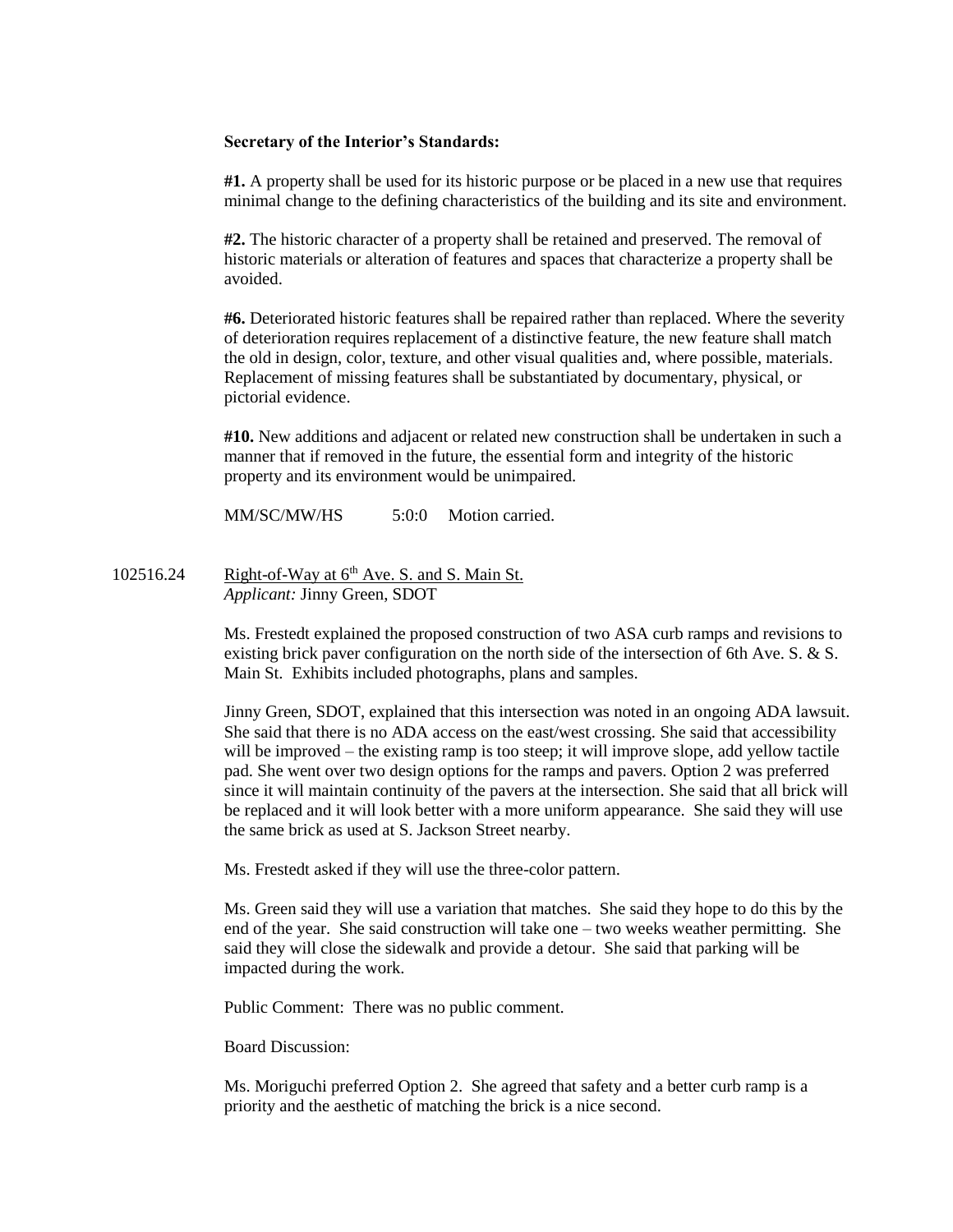## **Secretary of the Interior's Standards:**

**#1.** A property shall be used for its historic purpose or be placed in a new use that requires minimal change to the defining characteristics of the building and its site and environment.

**#2.** The historic character of a property shall be retained and preserved. The removal of historic materials or alteration of features and spaces that characterize a property shall be avoided.

**#6.** Deteriorated historic features shall be repaired rather than replaced. Where the severity of deterioration requires replacement of a distinctive feature, the new feature shall match the old in design, color, texture, and other visual qualities and, where possible, materials. Replacement of missing features shall be substantiated by documentary, physical, or pictorial evidence.

**#10.** New additions and adjacent or related new construction shall be undertaken in such a manner that if removed in the future, the essential form and integrity of the historic property and its environment would be unimpaired.

MM/SC/MW/HS 5:0:0 Motion carried.

102516.24 Right-of-Way at  $6<sup>th</sup>$  Ave. S. and S. Main St. *Applicant:* Jinny Green, SDOT

> Ms. Frestedt explained the proposed construction of two ASA curb ramps and revisions to existing brick paver configuration on the north side of the intersection of 6th Ave. S. & S. Main St. Exhibits included photographs, plans and samples.

Jinny Green, SDOT, explained that this intersection was noted in an ongoing ADA lawsuit. She said that there is no ADA access on the east/west crossing. She said that accessibility will be improved – the existing ramp is too steep; it will improve slope, add yellow tactile pad. She went over two design options for the ramps and pavers. Option 2 was preferred since it will maintain continuity of the pavers at the intersection. She said that all brick will be replaced and it will look better with a more uniform appearance. She said they will use the same brick as used at S. Jackson Street nearby.

Ms. Frestedt asked if they will use the three-color pattern.

Ms. Green said they will use a variation that matches. She said they hope to do this by the end of the year. She said construction will take one – two weeks weather permitting. She said they will close the sidewalk and provide a detour. She said that parking will be impacted during the work.

Public Comment: There was no public comment.

Board Discussion:

Ms. Moriguchi preferred Option 2. She agreed that safety and a better curb ramp is a priority and the aesthetic of matching the brick is a nice second.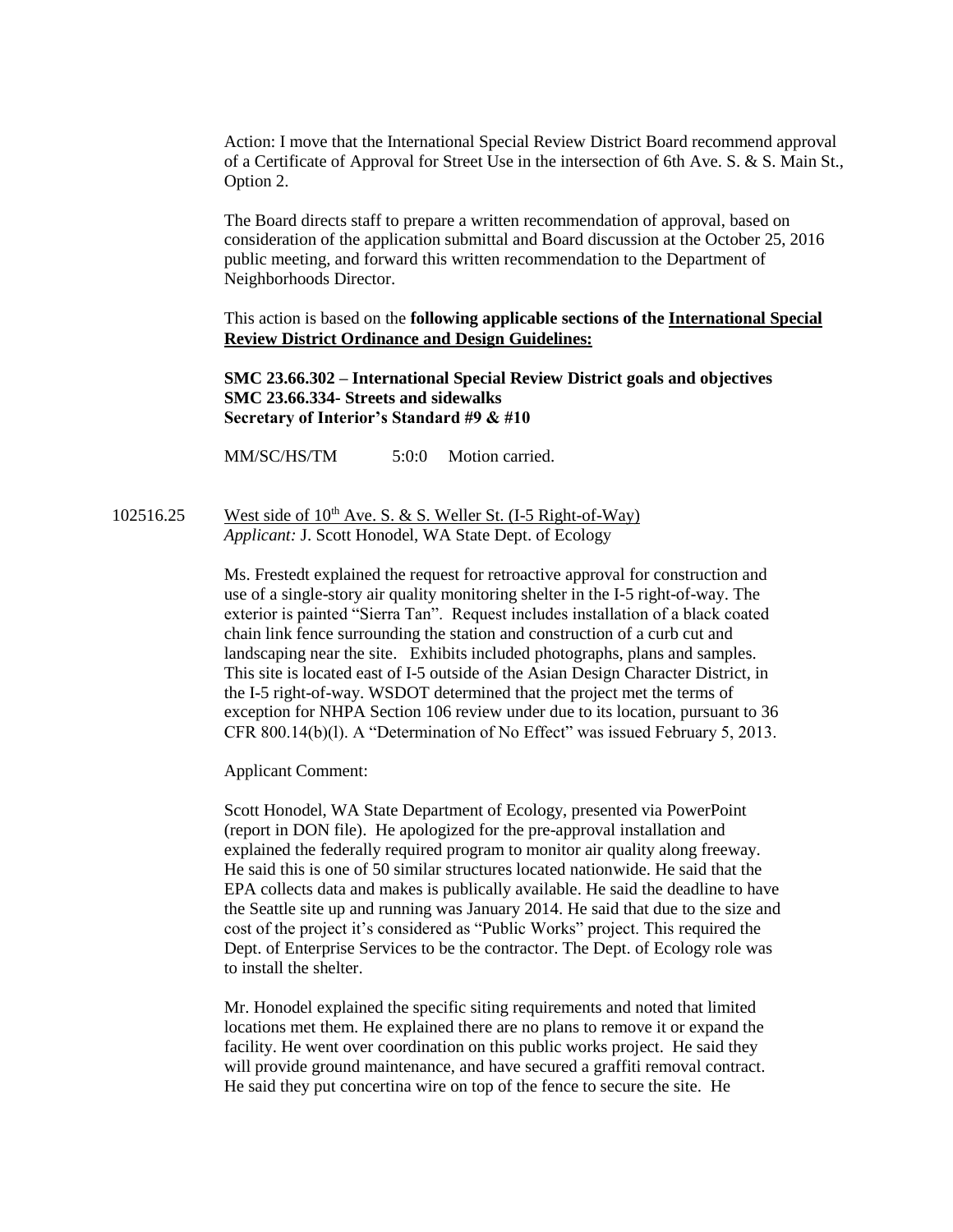Action: I move that the International Special Review District Board recommend approval of a Certificate of Approval for Street Use in the intersection of 6th Ave. S. & S. Main St., Option 2.

The Board directs staff to prepare a written recommendation of approval, based on consideration of the application submittal and Board discussion at the October 25, 2016 public meeting, and forward this written recommendation to the Department of Neighborhoods Director.

This action is based on the **following applicable sections of the International Special Review District Ordinance and Design Guidelines:**

**SMC 23.66.302 – International Special Review District goals and objectives SMC 23.66.334- Streets and sidewalks Secretary of Interior's Standard #9 & #10**

MM/SC/HS/TM 5:0:0 Motion carried.

102516.25 West side of  $10^{th}$  Ave. S. & S. Weller St. (I-5 Right-of-Way) *Applicant:* J. Scott Honodel, WA State Dept. of Ecology

> Ms. Frestedt explained the request for retroactive approval for construction and use of a single-story air quality monitoring shelter in the I-5 right-of-way. The exterior is painted "Sierra Tan". Request includes installation of a black coated chain link fence surrounding the station and construction of a curb cut and landscaping near the site. Exhibits included photographs, plans and samples. This site is located east of I-5 outside of the Asian Design Character District, in the I-5 right-of-way. WSDOT determined that the project met the terms of exception for NHPA Section 106 review under due to its location, pursuant to 36 CFR 800.14(b)(l). A "Determination of No Effect" was issued February 5, 2013.

Applicant Comment:

Scott Honodel, WA State Department of Ecology, presented via PowerPoint (report in DON file). He apologized for the pre-approval installation and explained the federally required program to monitor air quality along freeway. He said this is one of 50 similar structures located nationwide. He said that the EPA collects data and makes is publically available. He said the deadline to have the Seattle site up and running was January 2014. He said that due to the size and cost of the project it's considered as "Public Works" project. This required the Dept. of Enterprise Services to be the contractor. The Dept. of Ecology role was to install the shelter.

Mr. Honodel explained the specific siting requirements and noted that limited locations met them. He explained there are no plans to remove it or expand the facility. He went over coordination on this public works project. He said they will provide ground maintenance, and have secured a graffiti removal contract. He said they put concertina wire on top of the fence to secure the site. He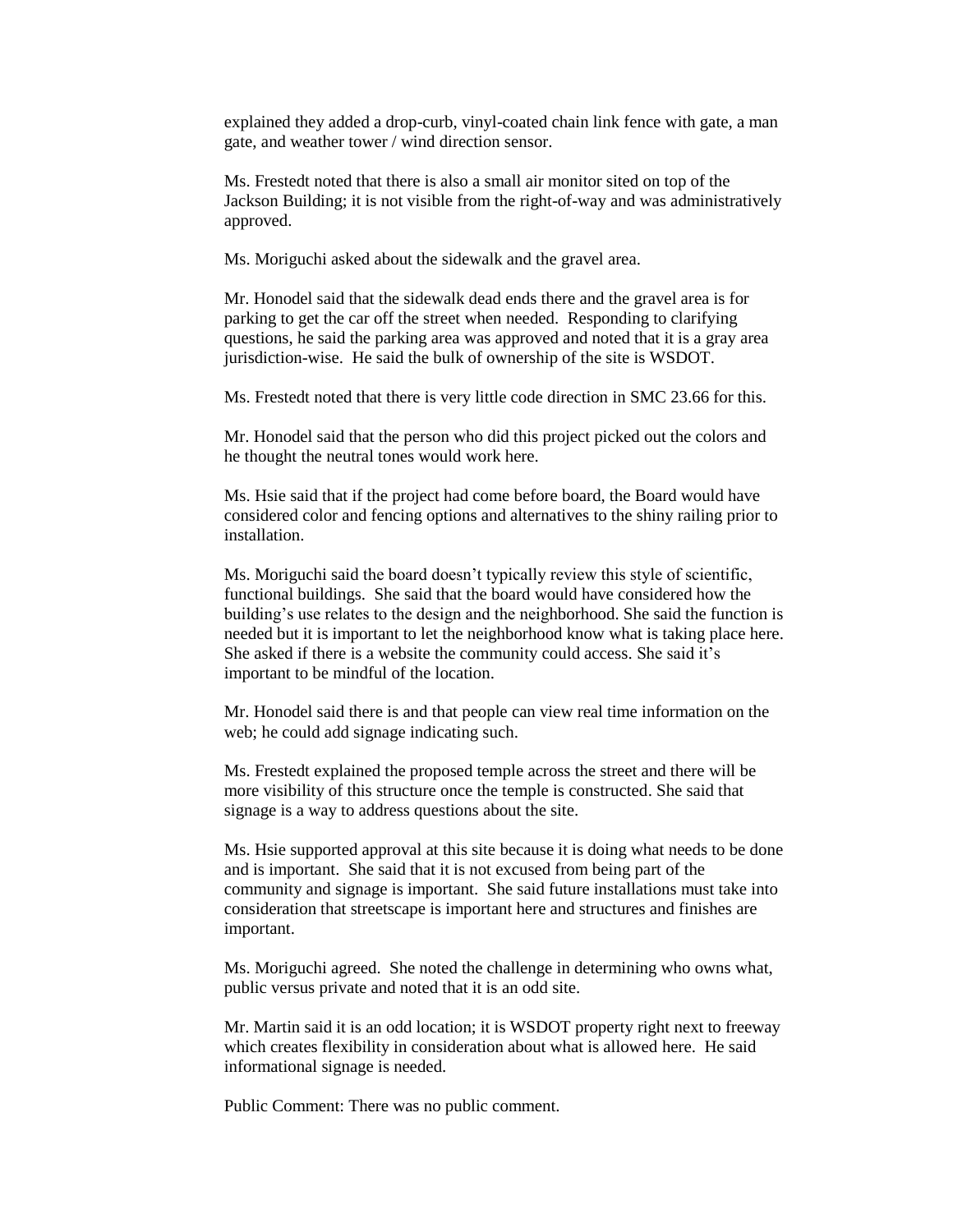explained they added a drop-curb, vinyl-coated chain link fence with gate, a man gate, and weather tower / wind direction sensor.

Ms. Frestedt noted that there is also a small air monitor sited on top of the Jackson Building; it is not visible from the right-of-way and was administratively approved.

Ms. Moriguchi asked about the sidewalk and the gravel area.

Mr. Honodel said that the sidewalk dead ends there and the gravel area is for parking to get the car off the street when needed. Responding to clarifying questions, he said the parking area was approved and noted that it is a gray area jurisdiction-wise. He said the bulk of ownership of the site is WSDOT.

Ms. Frestedt noted that there is very little code direction in SMC 23.66 for this.

Mr. Honodel said that the person who did this project picked out the colors and he thought the neutral tones would work here.

Ms. Hsie said that if the project had come before board, the Board would have considered color and fencing options and alternatives to the shiny railing prior to installation.

Ms. Moriguchi said the board doesn't typically review this style of scientific, functional buildings. She said that the board would have considered how the building's use relates to the design and the neighborhood. She said the function is needed but it is important to let the neighborhood know what is taking place here. She asked if there is a website the community could access. She said it's important to be mindful of the location.

Mr. Honodel said there is and that people can view real time information on the web; he could add signage indicating such.

Ms. Frestedt explained the proposed temple across the street and there will be more visibility of this structure once the temple is constructed. She said that signage is a way to address questions about the site.

Ms. Hsie supported approval at this site because it is doing what needs to be done and is important. She said that it is not excused from being part of the community and signage is important. She said future installations must take into consideration that streetscape is important here and structures and finishes are important.

Ms. Moriguchi agreed. She noted the challenge in determining who owns what, public versus private and noted that it is an odd site.

Mr. Martin said it is an odd location; it is WSDOT property right next to freeway which creates flexibility in consideration about what is allowed here. He said informational signage is needed.

Public Comment: There was no public comment.